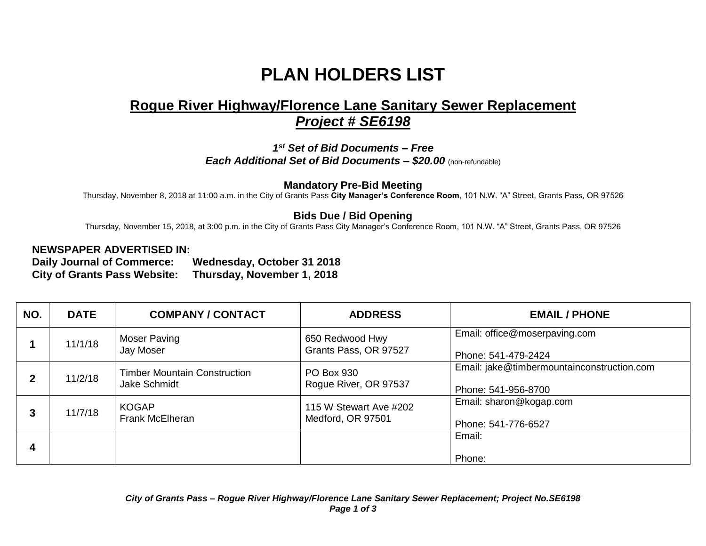## **PLAN HOLDERS LIST**

## **Rogue River Highway/Florence Lane Sanitary Sewer Replacement**  *Project # SE6198*

*1 st Set of Bid Documents – Free Each Additional Set of Bid Documents – \$20.00* (non-refundable)

**Mandatory Pre-Bid Meeting**

Thursday, November 8, 2018 at 11:00 a.m. in the City of Grants Pass **City Manager's Conference Room**, 101 N.W. "A" Street, Grants Pass, OR 97526

## **Bids Due / Bid Opening**

Thursday, November 15, 2018, at 3:00 p.m. in the City of Grants Pass City Manager's Conference Room, 101 N.W. "A" Street, Grants Pass, OR 97526

## **NEWSPAPER ADVERTISED IN:**

**Daily Journal of Commerce: Wednesday, October 31 2018 City of Grants Pass Website: Thursday, November 1, 2018**

| NO.         | <b>DATE</b> | <b>COMPANY / CONTACT</b>                     | <b>ADDRESS</b>                              | <b>EMAIL / PHONE</b>                                              |
|-------------|-------------|----------------------------------------------|---------------------------------------------|-------------------------------------------------------------------|
|             | 11/1/18     | Moser Paving<br>Jay Moser                    | 650 Redwood Hwy<br>Grants Pass, OR 97527    | Email: office@moserpaving.com<br>Phone: 541-479-2424              |
| $\mathbf 2$ | 11/2/18     | Timber Mountain Construction<br>Jake Schmidt | <b>PO Box 930</b><br>Rogue River, OR 97537  | Email: jake@timbermountainconstruction.com<br>Phone: 541-956-8700 |
| 3           | 11/7/18     | <b>KOGAP</b><br>Frank McElheran              | 115 W Stewart Ave #202<br>Medford, OR 97501 | Email: sharon@kogap.com<br>Phone: 541-776-6527                    |
| 4           |             |                                              |                                             | Email:<br>Phone:                                                  |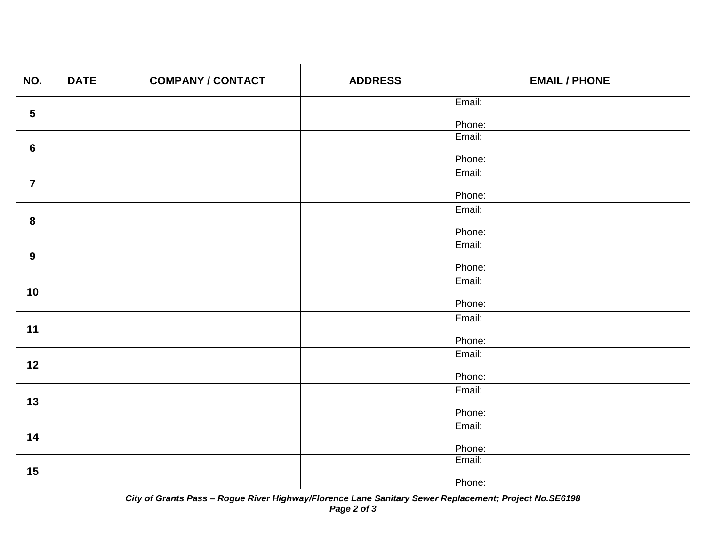| NO.             | <b>DATE</b> | <b>COMPANY / CONTACT</b> | <b>ADDRESS</b> | <b>EMAIL / PHONE</b> |
|-----------------|-------------|--------------------------|----------------|----------------------|
| $5\phantom{.0}$ |             |                          |                | Email:               |
|                 |             |                          |                | Phone:               |
|                 |             |                          |                | Email:               |
| $6\phantom{1}$  |             |                          |                | Phone:               |
|                 |             |                          |                | Email:               |
| $\overline{7}$  |             |                          |                |                      |
|                 |             |                          |                | Phone:               |
| 8               |             |                          |                | Email:               |
|                 |             |                          |                | Phone:               |
| $\mathbf{9}$    |             |                          |                | Email:               |
|                 |             |                          |                | Phone:               |
|                 |             |                          |                | Email:               |
| 10              |             |                          |                |                      |
|                 |             |                          |                | Phone:               |
| 11              |             |                          |                | Email:               |
|                 |             |                          |                | Phone:               |
|                 |             |                          |                | Email:               |
| 12              |             |                          |                |                      |
|                 |             |                          |                | Phone:               |
| 13              |             |                          |                | Email:               |
|                 |             |                          |                | Phone:               |
|                 |             |                          |                | Email:               |
| 14              |             |                          |                | Phone:               |
|                 |             |                          |                | Email:               |
| 15              |             |                          |                |                      |
|                 |             |                          |                | Phone:               |

*City of Grants Pass – Rogue River Highway/Florence Lane Sanitary Sewer Replacement; Project No.SE6198 Page 2 of 3*